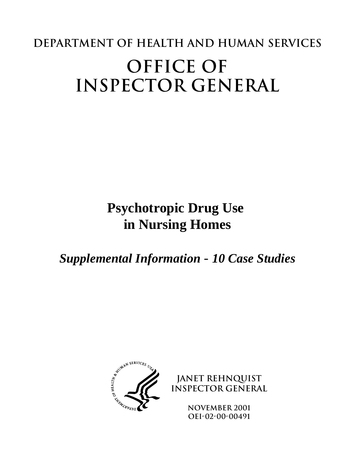# **Department of Health and Human Services OFFICE OF INSPECTOR GENERAL**

# **Psychotropic Drug Use in Nursing Homes**

*Supplemental Information* - *10 Case Studies*



**JANET REHNQUIST Inspector General**

> **november 2001 OEI-02-00-00491**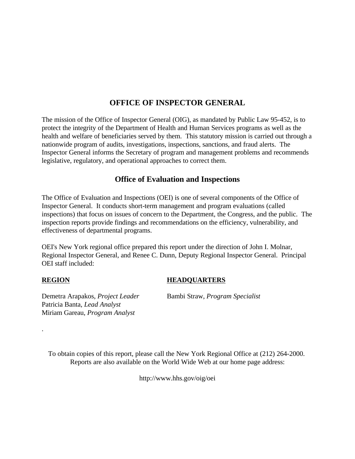# **OFFICE OF INSPECTOR GENERAL**

The mission of the Office of Inspector General (OIG), as mandated by Public Law 95-452, is to protect the integrity of the Department of Health and Human Services programs as well as the health and welfare of beneficiaries served by them. This statutory mission is carried out through a nationwide program of audits, investigations, inspections, sanctions, and fraud alerts. The Inspector General informs the Secretary of program and management problems and recommends legislative, regulatory, and operational approaches to correct them.

# **Office of Evaluation and Inspections**

The Office of Evaluation and Inspections (OEI) is one of several components of the Office of Inspector General. It conducts short-term management and program evaluations (called inspections) that focus on issues of concern to the Department, the Congress, and the public. The inspection reports provide findings and recommendations on the efficiency, vulnerability, and effectiveness of departmental programs.

OEI's New York regional office prepared this report under the direction of John I. Molnar, Regional Inspector General, and Renee C. Dunn, Deputy Regional Inspector General. Principal OEI staff included:

.

#### **REGION HEADQUARTERS**

Demetra Arapakos, *Project Leader* Bambi Straw, *Program Specialist* Patricia Banta, *Lead Analyst* Miriam Gareau, *Program Analyst*

To obtain copies of this report, please call the New York Regional Office at (212) 264-2000. Reports are also available on the World Wide Web at our home page address:

http://www.hhs.gov/oig/oei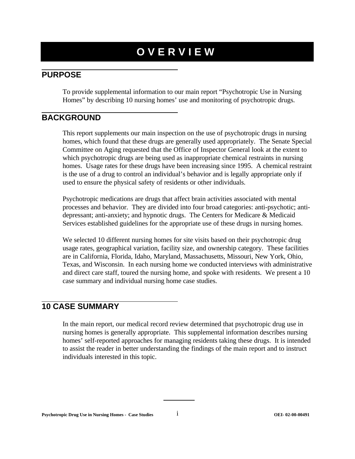# **OVERVIEW**

# **PURPOSE**

To provide supplemental information to our main report "Psychotropic Use in Nursing Homes" by describing 10 nursing homes' use and monitoring of psychotropic drugs.

# **BACKGROUND**

This report supplements our main inspection on the use of psychotropic drugs in nursing homes, which found that these drugs are generally used appropriately. The Senate Special Committee on Aging requested that the Office of Inspector General look at the extent to which psychotropic drugs are being used as inappropriate chemical restraints in nursing homes. Usage rates for these drugs have been increasing since 1995. A chemical restraint is the use of a drug to control an individual's behavior and is legally appropriate only if used to ensure the physical safety of residents or other individuals.

Psychotropic medications are drugs that affect brain activities associated with mental processes and behavior. They are divided into four broad categories: anti-psychotic; antidepressant; anti-anxiety; and hypnotic drugs. The Centers for Medicare & Medicaid Services established guidelines for the appropriate use of these drugs in nursing homes.

We selected 10 different nursing homes for site visits based on their psychotropic drug usage rates, geographical variation, facility size, and ownership category. These facilities are in California, Florida, Idaho, Maryland, Massachusetts, Missouri, New York, Ohio, Texas, and Wisconsin. In each nursing home we conducted interviews with administrative and direct care staff, toured the nursing home, and spoke with residents. We present a 10 case summary and individual nursing home case studies.

# **10 CASE SUMMARY**

In the main report, our medical record review determined that psychotropic drug use in nursing homes is generally appropriate. This supplemental information describes nursing homes' self-reported approaches for managing residents taking these drugs. It is intended to assist the reader in better understanding the findings of the main report and to instruct individuals interested in this topic.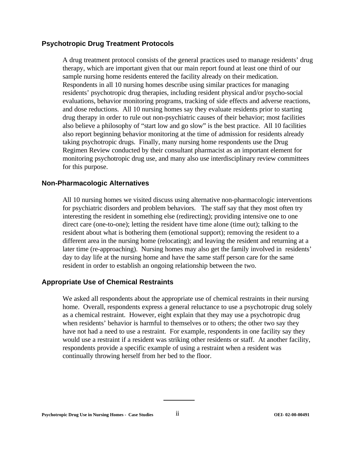#### **Psychotropic Drug Treatment Protocols**

A drug treatment protocol consists of the general practices used to manage residents' drug therapy, which are important given that our main report found at least one third of our sample nursing home residents entered the facility already on their medication. Respondents in all 10 nursing homes describe using similar practices for managing residents' psychotropic drug therapies, including resident physical and/or psycho-social evaluations, behavior monitoring programs, tracking of side effects and adverse reactions, and dose reductions. All 10 nursing homes say they evaluate residents prior to starting drug therapy in order to rule out non-psychiatric causes of their behavior; most facilities also believe a philosophy of "start low and go slow" is the best practice. All 10 facilities also report beginning behavior monitoring at the time of admission for residents already taking psychotropic drugs. Finally, many nursing home respondents use the Drug Regimen Review conducted by their consultant pharmacist as an important element for monitoring psychotropic drug use, and many also use interdisciplinary review committees for this purpose.

#### **Non-Pharmacologic Alternatives**

All 10 nursing homes we visited discuss using alternative non-pharmacologic interventions for psychiatric disorders and problem behaviors. The staff say that they most often try interesting the resident in something else (redirecting); providing intensive one to one direct care (one-to-one); letting the resident have time alone (time out); talking to the resident about what is bothering them (emotional support); removing the resident to a different area in the nursing home (relocating); and leaving the resident and returning at a later time (re-approaching). Nursing homes may also get the family involved in residents' day to day life at the nursing home and have the same staff person care for the same resident in order to establish an ongoing relationship between the two.

#### **Appropriate Use of Chemical Restraints**

We asked all respondents about the appropriate use of chemical restraints in their nursing home. Overall, respondents express a general reluctance to use a psychotropic drug solely as a chemical restraint. However, eight explain that they may use a psychotropic drug when residents' behavior is harmful to themselves or to others; the other two say they have not had a need to use a restraint. For example, respondents in one facility say they would use a restraint if a resident was striking other residents or staff. At another facility, respondents provide a specific example of using a restraint when a resident was continually throwing herself from her bed to the floor.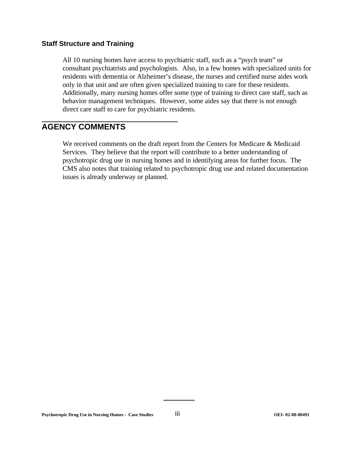#### **Staff Structure and Training**

All 10 nursing homes have access to psychiatric staff, such as a "psych team" or consultant psychiatrists and psychologists. Also, in a few homes with specialized units for residents with dementia or Alzheimer's disease, the nurses and certified nurse aides work only in that unit and are often given specialized training to care for these residents. Additionally, many nursing homes offer some type of training to direct care staff, such as behavior management techniques. However, some aides say that there is not enough direct care staff to care for psychiatric residents.

# **AGENCY COMMENTS**

We received comments on the draft report from the Centers for Medicare & Medicaid Services. They believe that the report will contribute to a better understanding of psychotropic drug use in nursing homes and in identifying areas for further focus. The CMS also notes that training related to psychotropic drug use and related documentation issues is already underway or planned.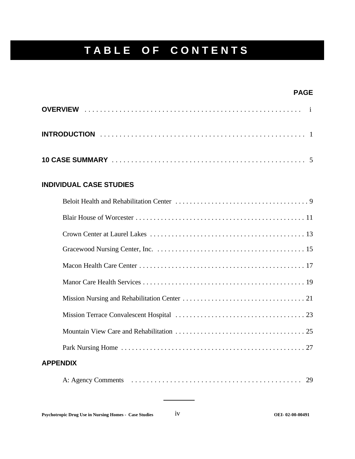# **TABLE OF CONTENTS**

#### **PAGE**

### **INDIVIDUAL CASE STUDIES**

| <b>APPENDIX</b> |  |
|-----------------|--|
|                 |  |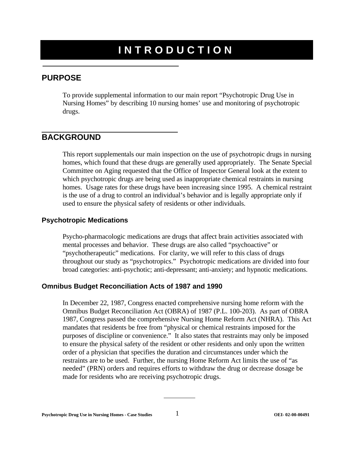# **INTRODUCTION**

# **PURPOSE**

To provide supplemental information to our main report "Psychotropic Drug Use in Nursing Homes" by describing 10 nursing homes' use and monitoring of psychotropic drugs.

# **BACKGROUND**

This report supplementals our main inspection on the use of psychotropic drugs in nursing homes, which found that these drugs are generally used appropriately. The Senate Special Committee on Aging requested that the Office of Inspector General look at the extent to which psychotropic drugs are being used as inappropriate chemical restraints in nursing homes. Usage rates for these drugs have been increasing since 1995. A chemical restraint is the use of a drug to control an individual's behavior and is legally appropriate only if used to ensure the physical safety of residents or other individuals.

#### **Psychotropic Medications**

Psycho-pharmacologic medications are drugs that affect brain activities associated with mental processes and behavior. These drugs are also called "psychoactive" or "psychotherapeutic" medications. For clarity, we will refer to this class of drugs throughout our study as "psychotropics." Psychotropic medications are divided into four broad categories: anti-psychotic; anti-depressant; anti-anxiety; and hypnotic medications.

#### **Omnibus Budget Reconciliation Acts of 1987 and 1990**

In December 22, 1987, Congress enacted comprehensive nursing home reform with the Omnibus Budget Reconciliation Act (OBRA) of 1987 (P.L. 100-203). As part of OBRA 1987, Congress passed the comprehensive Nursing Home Reform Act (NHRA). This Act mandates that residents be free from "physical or chemical restraints imposed for the purposes of discipline or convenience." It also states that restraints may only be imposed to ensure the physical safety of the resident or other residents and only upon the written order of a physician that specifies the duration and circumstances under which the restraints are to be used. Further, the nursing Home Reform Act limits the use of "as needed" (PRN) orders and requires efforts to withdraw the drug or decrease dosage be made for residents who are receiving psychotropic drugs.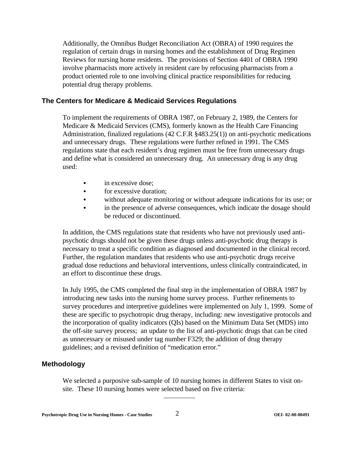Additionally, the Omnibus Budget Reconciliation Act (OBRA) of 1990 requires the regulation of certain drugs in nursing homes and the establishment of Drug Regimen Reviews for nursing home residents. The provisions of Section 4401 of OBRA 1990 involve pharmacists more actively in resident care by refocusing pharmacists from a product oriented role to one involving clinical practice responsibilities for reducing potential drug therapy problems.

#### **The Centers for Medicare & Medicaid Services Regulations**

To implement the requirements of OBRA 1987, on February 2, 1989, the Centers for Medicare & Medicaid Services (CMS), formerly known as the Health Care Financing Administration, finalized regulations (42 C.F.R §483.25(1)) on anti-psychotic medications and unnecessary drugs. These regulations were further refined in 1991. The CMS regulations state that each resident's drug regimen must be free from unnecessary drugs and define what is considered an unnecessary drug. An unnecessary drug is any drug used:

- in excessive dose;
- for excessive duration;
- C without adequate monitoring or without adequate indications for its use; or
- in the presence of adverse consequences, which indicate the dosage should be reduced or discontinued.

In addition, the CMS regulations state that residents who have not previously used antipsychotic drugs should not be given these drugs unless anti-psychotic drug therapy is necessary to treat a specific condition as diagnosed and documented in the clinical record. Further, the regulation mandates that residents who use anti-psychotic drugs receive gradual dose reductions and behavioral interventions, unless clinically contraindicated, in an effort to discontinue these drugs.

In July 1995, the CMS completed the final step in the implementation of OBRA 1987 by introducing new tasks into the nursing home survey process. Further refinements to survey procedures and interpretive guidelines were implemented on July 1, 1999. Some of these are specific to psychotropic drug therapy, including: new investigative protocols and the incorporation of quality indicators (QIs) based on the Minimum Data Set (MDS) into the off-site survey process; an update to the list of anti-psychotic drugs that can be cited as unnecessary or misused under tag number F329; the addition of drug therapy guidelines; and a revised definition of "medication error."

#### **Methodology**

We selected a purposive sub-sample of 10 nursing homes in different States to visit onsite. These 10 nursing homes were selected based on five criteria: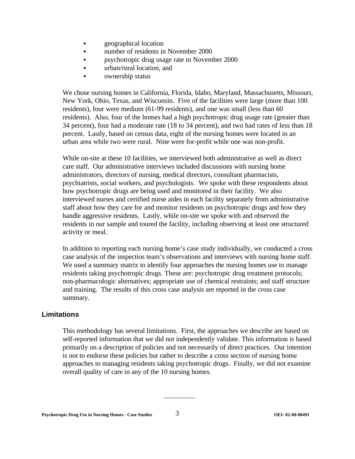- geographical location
- number of residents in November 2000
- psychotropic drug usage rate in November 2000
- urban/rural location, and
- ownership status

We chose nursing homes in California, Florida, Idaho, Maryland, Massachusetts, Missouri, New York, Ohio, Texas, and Wisconsin. Five of the facilities were large (more than 100 residents), four were medium (61-99 residents), and one was small (less than 60 residents). Also, four of the homes had a high psychotropic drug usage rate (greater than 34 percent), four had a moderate rate (18 to 34 percent), and two had rates of less than 18 percent. Lastly, based on census data, eight of the nursing homes were located in an urban area while two were rural. Nine were for-profit while one was non-profit.

While on-site at these 10 facilities, we interviewed both administrative as well as direct care staff. Our administrative interviews included discussions with nursing home administrators, directors of nursing, medical directors, consultant pharmacists, psychiatrists, social workers, and psychologists. We spoke with these respondents about how psychotropic drugs are being used and monitored in their facility. We also interviewed nurses and certified nurse aides in each facility separately from administrative staff about how they care for and monitor residents on psychotropic drugs and how they handle aggressive residents. Lastly, while on-site we spoke with and observed the residents in our sample and toured the facility, including observing at least one structured activity or meal.

In addition to reporting each nursing home's case study individually, we conducted a cross case analysis of the inspectios team's observations and interviews with nursing home staff. We used a summary matrix to identify four approaches the nursing homes use to manage residents taking psychotropic drugs. These are: psychotropic drug treatment protocols; non-pharmacologic alternatives; appropriate use of chemical restraints; and staff structure and training. The results of this cross case analysis are reported in the cross case summary.

#### **Limitations**

This methodology has several limitations. First, the approaches we describe are based on self-reported information that we did not independently validate. This information is based primarily on a description of policies and not necessarily of direct practices. Our intention is not to endorse these policies but rather to describe a cross section of nursing home approaches to managing residents taking psychotropic drugs. Finally, we did not examine overall quality of care in any of the 10 nursing homes.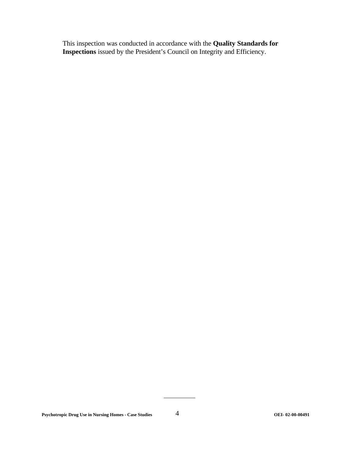This inspection was conducted in accordance with the **Quality Standards for Inspections** issued by the President's Council on Integrity and Efficiency.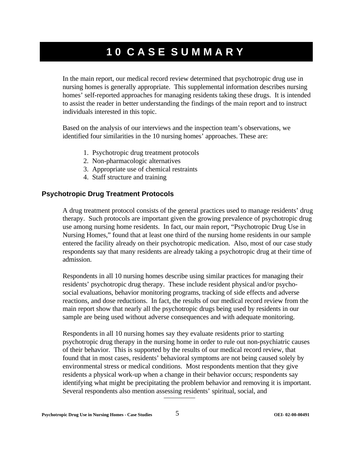# **10 CASE SUMMARY**

In the main report, our medical record review determined that psychotropic drug use in nursing homes is generally appropriate. This supplemental information describes nursing homes' self-reported approaches for managing residents taking these drugs. It is intended to assist the reader in better understanding the findings of the main report and to instruct individuals interested in this topic.

Based on the analysis of our interviews and the inspection team's observations, we identified four similarities in the 10 nursing homes' approaches. These are:

- 1. Psychotropic drug treatment protocols
- 2. Non-pharmacologic alternatives
- 3. Appropriate use of chemical restraints
- 4. Staff structure and training

#### **Psychotropic Drug Treatment Protocols**

A drug treatment protocol consists of the general practices used to manage residents' drug therapy. Such protocols are important given the growing prevalence of psychotropic drug use among nursing home residents. In fact, our main report, "Psychotropic Drug Use in Nursing Homes," found that at least one third of the nursing home residents in our sample entered the facility already on their psychotropic medication. Also, most of our case study respondents say that many residents are already taking a psychotropic drug at their time of admission.

Respondents in all 10 nursing homes describe using similar practices for managing their residents' psychotropic drug therapy. These include resident physical and/or psychosocial evaluations, behavior monitoring programs, tracking of side effects and adverse reactions, and dose reductions. In fact, the results of our medical record review from the main report show that nearly all the psychotropic drugs being used by residents in our sample are being used without adverse consequences and with adequate monitoring.

Respondents in all 10 nursing homes say they evaluate residents prior to starting psychotropic drug therapy in the nursing home in order to rule out non-psychiatric causes of their behavior. This is supported by the results of our medical record review, that found that in most cases, residents' behavioral symptoms are not being caused solely by environmental stress or medical conditions. Most respondents mention that they give residents a physical work-up when a change in their behavior occurs; respondents say identifying what might be precipitating the problem behavior and removing it is important. Several respondents also mention assessing residents' spiritual, social, and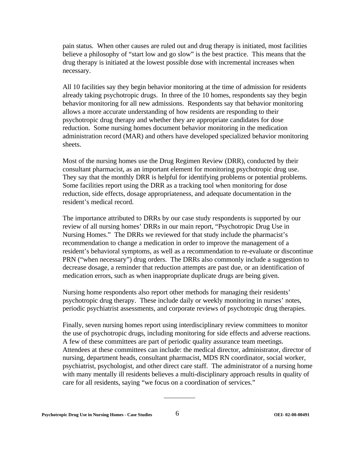pain status. When other causes are ruled out and drug therapy is initiated, most facilities believe a philosophy of "start low and go slow" is the best practice. This means that the drug therapy is initiated at the lowest possible dose with incremental increases when necessary.

All 10 facilities say they begin behavior monitoring at the time of admission for residents already taking psychotropic drugs. In three of the 10 homes, respondents say they begin behavior monitoring for all new admissions. Respondents say that behavior monitoring allows a more accurate understanding of how residents are responding to their psychotropic drug therapy and whether they are appropriate candidates for dose reduction. Some nursing homes document behavior monitoring in the medication administration record (MAR) and others have developed specialized behavior monitoring sheets.

Most of the nursing homes use the Drug Regimen Review (DRR), conducted by their consultant pharmacist, as an important element for monitoring psychotropic drug use. They say that the monthly DRR is helpful for identifying problems or potential problems. Some facilities report using the DRR as a tracking tool when monitoring for dose reduction, side effects, dosage appropriateness, and adequate documentation in the resident's medical record.

The importance attributed to DRRs by our case study respondents is supported by our review of all nursing homes' DRRs in our main report, "Psychotropic Drug Use in Nursing Homes." The DRRs we reviewed for that study include the pharmacist's recommendation to change a medication in order to improve the management of a resident's behavioral symptoms, as well as a recommendation to re-evaluate or discontinue PRN ("when necessary") drug orders. The DRRs also commonly include a suggestion to decrease dosage, a reminder that reduction attempts are past due, or an identification of medication errors, such as when inappropriate duplicate drugs are being given.

Nursing home respondents also report other methods for managing their residents' psychotropic drug therapy. These include daily or weekly monitoring in nurses' notes, periodic psychiatrist assessments, and corporate reviews of psychotropic drug therapies.

Finally, seven nursing homes report using interdisciplinary review committees to monitor the use of psychotropic drugs, including monitoring for side effects and adverse reactions. A few of these committees are part of periodic quality assurance team meetings. Attendees at these committees can include: the medical director, administrator, director of nursing, department heads, consultant pharmacist, MDS RN coordinator, social worker, psychiatrist, psychologist, and other direct care staff. The administrator of a nursing home with many mentally ill residents believes a multi-disciplinary approach results in quality of care for all residents, saying "we focus on a coordination of services."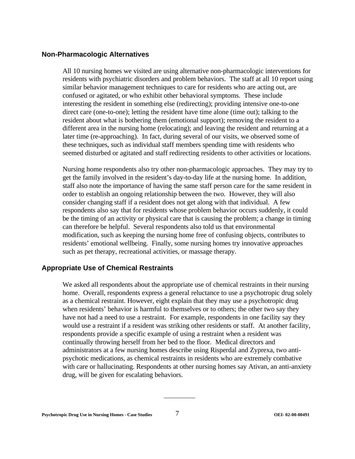#### **Non-Pharmacologic Alternatives**

All 10 nursing homes we visited are using alternative non-pharmacologic interventions for residents with psychiatric disorders and problem behaviors. The staff at all 10 report using similar behavior management techniques to care for residents who are acting out, are confused or agitated, or who exhibit other behavioral symptoms. These include interesting the resident in something else (redirecting); providing intensive one-to-one direct care (one-to-one); letting the resident have time alone (time out); talking to the resident about what is bothering them (emotional support); removing the resident to a different area in the nursing home (relocating); and leaving the resident and returning at a later time (re-approaching). In fact, during several of our visits, we observed some of these techniques, such as individual staff members spending time with residents who seemed disturbed or agitated and staff redirecting residents to other activities or locations.

Nursing home respondents also try other non-pharmacologic approaches. They may try to get the family involved in the resident's day-to-day life at the nursing home. In addition, staff also note the importance of having the same staff person care for the same resident in order to establish an ongoing relationship between the two. However, they will also consider changing staff if a resident does not get along with that individual. A few respondents also say that for residents whose problem behavior occurs suddenly, it could be the timing of an activity or physical care that is causing the problem; a change in timing can therefore be helpful. Several respondents also told us that environmental modification, such as keeping the nursing home free of confusing objects, contributes to residents' emotional wellbeing. Finally, some nursing homes try innovative approaches such as pet therapy, recreational activities, or massage therapy.

#### **Appropriate Use of Chemical Restraints**

We asked all respondents about the appropriate use of chemical restraints in their nursing home. Overall, respondents express a general reluctance to use a psychotropic drug solely as a chemical restraint. However, eight explain that they may use a psychotropic drug when residents' behavior is harmful to themselves or to others; the other two say they have not had a need to use a restraint. For example, respondents in one facility say they would use a restraint if a resident was striking other residents or staff. At another facility, respondents provide a specific example of using a restraint when a resident was continually throwing herself from her bed to the floor. Medical directors and administrators at a few nursing homes describe using Risperdal and Zyprexa, two antipsychotic medications, as chemical restraints in residents who are extremely combative with care or hallucinating. Respondents at other nursing homes say Ativan, an anti-anxiety drug, will be given for escalating behaviors.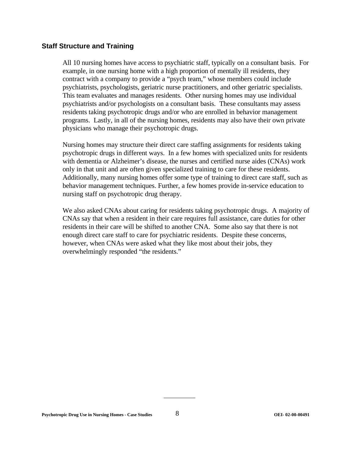#### **Staff Structure and Training**

All 10 nursing homes have access to psychiatric staff, typically on a consultant basis. For example, in one nursing home with a high proportion of mentally ill residents, they contract with a company to provide a "psych team," whose members could include psychiatrists, psychologists, geriatric nurse practitioners, and other geriatric specialists. This team evaluates and manages residents. Other nursing homes may use individual psychiatrists and/or psychologists on a consultant basis. These consultants may assess residents taking psychotropic drugs and/or who are enrolled in behavior management programs. Lastly, in all of the nursing homes, residents may also have their own private physicians who manage their psychotropic drugs.

Nursing homes may structure their direct care staffing assignments for residents taking psychotropic drugs in different ways. In a few homes with specialized units for residents with dementia or Alzheimer's disease, the nurses and certified nurse aides (CNAs) work only in that unit and are often given specialized training to care for these residents. Additionally, many nursing homes offer some type of training to direct care staff, such as behavior management techniques. Further, a few homes provide in-service education to nursing staff on psychotropic drug therapy.

We also asked CNAs about caring for residents taking psychotropic drugs. A majority of CNAs say that when a resident in their care requires full assistance, care duties for other residents in their care will be shifted to another CNA. Some also say that there is not enough direct care staff to care for psychiatric residents. Despite these concerns, however, when CNAs were asked what they like most about their jobs, they overwhelmingly responded "the residents."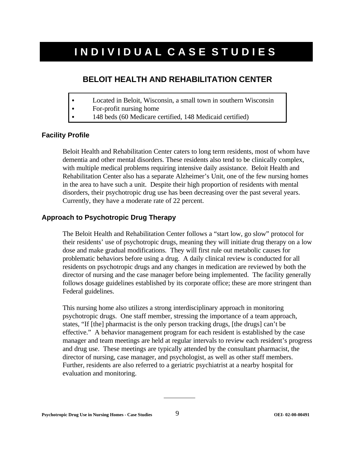# **INDIVIDUAL CASE STUDIES**

# **BELOIT HEALTH AND REHABILITATION CENTER**

- Located in Beloit, Wisconsin, a small town in southern Wisconsin
- $\bullet$  For-profit nursing home
- C 148 beds (60 Medicare certified, 148 Medicaid certified)

#### **Facility Profile**

Beloit Health and Rehabilitation Center caters to long term residents, most of whom have dementia and other mental disorders. These residents also tend to be clinically complex, with multiple medical problems requiring intensive daily assistance. Beloit Health and Rehabilitation Center also has a separate Alzheimer's Unit, one of the few nursing homes in the area to have such a unit. Despite their high proportion of residents with mental disorders, their psychotropic drug use has been decreasing over the past several years. Currently, they have a moderate rate of 22 percent.

#### **Approach to Psychotropic Drug Therapy**

The Beloit Health and Rehabilitation Center follows a "start low, go slow" protocol for their residents' use of psychotropic drugs, meaning they will initiate drug therapy on a low dose and make gradual modifications. They will first rule out metabolic causes for problematic behaviors before using a drug. A daily clinical review is conducted for all residents on psychotropic drugs and any changes in medication are reviewed by both the director of nursing and the case manager before being implemented. The facility generally follows dosage guidelines established by its corporate office; these are more stringent than Federal guidelines.

This nursing home also utilizes a strong interdisciplinary approach in monitoring psychotropic drugs. One staff member, stressing the importance of a team approach, states, "If [the] pharmacist is the only person tracking drugs, [the drugs] can't be effective." A behavior management program for each resident is established by the case manager and team meetings are held at regular intervals to review each resident's progress and drug use. These meetings are typically attended by the consultant pharmacist, the director of nursing, case manager, and psychologist, as well as other staff members. Further, residents are also referred to a geriatric psychiatrist at a nearby hospital for evaluation and monitoring.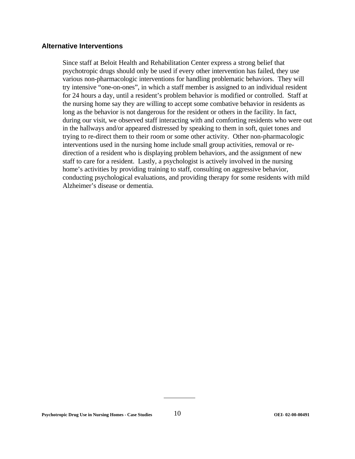#### **Alternative Interventions**

Since staff at Beloit Health and Rehabilitation Center express a strong belief that psychotropic drugs should only be used if every other intervention has failed, they use various non-pharmacologic interventions for handling problematic behaviors. They will try intensive "one-on-ones", in which a staff member is assigned to an individual resident for 24 hours a day, until a resident's problem behavior is modified or controlled. Staff at the nursing home say they are willing to accept some combative behavior in residents as long as the behavior is not dangerous for the resident or others in the facility. In fact, during our visit, we observed staff interacting with and comforting residents who were out in the hallways and/or appeared distressed by speaking to them in soft, quiet tones and trying to re-direct them to their room or some other activity. Other non-pharmacologic interventions used in the nursing home include small group activities, removal or redirection of a resident who is displaying problem behaviors, and the assignment of new staff to care for a resident. Lastly, a psychologist is actively involved in the nursing home's activities by providing training to staff, consulting on aggressive behavior, conducting psychological evaluations, and providing therapy for some residents with mild Alzheimer's disease or dementia.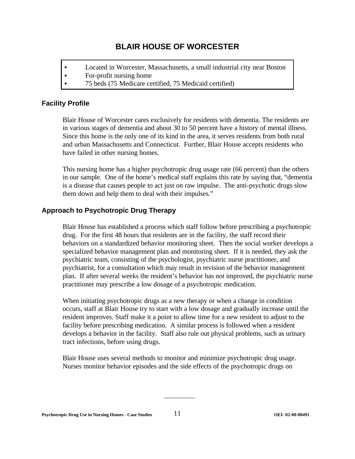# **BLAIR HOUSE OF WORCESTER**

- Located in Worcester, Massachusetts, a small industrial city near Boston
- For-profit nursing home
- 75 beds (75 Medicare certified, 75 Medicaid certified)

# **Facility Profile**

Blair House of Worcester cares exclusively for residents with dementia. The residents are in various stages of dementia and about 30 to 50 percent have a history of mental illness. Since this home is the only one of its kind in the area, it serves residents from both rural and urban Massachusetts and Connecticut. Further, Blair House accepts residents who have failed in other nursing homes.

This nursing home has a higher psychotropic drug usage rate (66 percent) than the others in our sample. One of the home's medical staff explains this rate by saying that, "dementia is a disease that causes people to act just on raw impulse. The anti-psychotic drugs slow them down and help them to deal with their impulses."

# **Approach to Psychotropic Drug Therapy**

Blair House has established a process which staff follow before prescribing a psychotropic drug. For the first 48 hours that residents are in the facility, the staff record their behaviors on a standardized behavior monitoring sheet. Then the social worker develops a specialized behavior management plan and monitoring sheet. If it is needed, they ask the psychiatric team, consisting of the psychologist, psychiatric nurse practitioner, and psychiatrist, for a consultation which may result in revision of the behavior management plan. If after several weeks the resident's behavior has not improved, the psychiatric nurse practitioner may prescribe a low dosage of a psychotropic medication.

When initiating psychotropic drugs as a new therapy or when a change in condition occurs, staff at Blair House try to start with a low dosage and gradually increase until the resident improves. Staff make it a point to allow time for a new resident to adjust to the facility before prescribing medication. A similar process is followed when a resident develops a behavior in the facility. Staff also rule out physical problems, such as urinary tract infections, before using drugs.

Blair House uses several methods to monitor and minimize psychotropic drug usage. Nurses monitor behavior episodes and the side effects of the psychotropic drugs on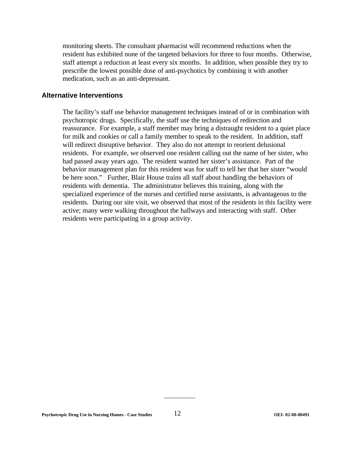monitoring sheets. The consultant pharmacist will recommend reductions when the resident has exhibited none of the targeted behaviors for three to four months. Otherwise, staff attempt a reduction at least every six months. In addition, when possible they try to prescribe the lowest possible dose of anti-psychotics by combining it with another medication, such as an anti-depressant.

#### **Alternative Interventions**

The facility's staff use behavior management techniques instead of or in combination with psychotropic drugs. Specifically, the staff use the techniques of redirection and reassurance. For example, a staff member may bring a distraught resident to a quiet place for milk and cookies or call a family member to speak to the resident. In addition, staff will redirect disruptive behavior. They also do not attempt to reorient delusional residents. For example, we observed one resident calling out the name of her sister, who had passed away years ago. The resident wanted her sister's assistance. Part of the behavior management plan for this resident was for staff to tell her that her sister "would be here soon." Further, Blair House trains all staff about handling the behaviors of residents with dementia. The administrator believes this training, along with the specialized experience of the nurses and certified nurse assistants, is advantageous to the residents. During our site visit, we observed that most of the residents in this facility were active; many were walking throughout the hallways and interacting with staff. Other residents were participating in a group activity.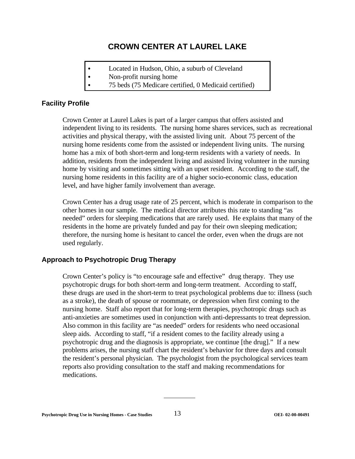# **CROWN CENTER AT LAUREL LAKE**

- Located in Hudson, Ohio, a suburb of Cleveland
- $\bullet$  Non-profit nursing home
	- C 75 beds (75 Medicare certified, 0 Medicaid certified)

# **Facility Profile**

Crown Center at Laurel Lakes is part of a larger campus that offers assisted and independent living to its residents. The nursing home shares services, such as recreational activities and physical therapy, with the assisted living unit. About 75 percent of the nursing home residents come from the assisted or independent living units. The nursing home has a mix of both short-term and long-term residents with a variety of needs. In addition, residents from the independent living and assisted living volunteer in the nursing home by visiting and sometimes sitting with an upset resident. According to the staff, the nursing home residents in this facility are of a higher socio-economic class, education level, and have higher family involvement than average.

Crown Center has a drug usage rate of 25 percent, which is moderate in comparison to the other homes in our sample. The medical director attributes this rate to standing "as needed" orders for sleeping medications that are rarely used. He explains that many of the residents in the home are privately funded and pay for their own sleeping medication; therefore, the nursing home is hesitant to cancel the order, even when the drugs are not used regularly.

# **Approach to Psychotropic Drug Therapy**

Crown Center's policy is "to encourage safe and effective" drug therapy. They use psychotropic drugs for both short-term and long-term treatment. According to staff, these drugs are used in the short-term to treat psychological problems due to: illness (such as a stroke), the death of spouse or roommate, or depression when first coming to the nursing home. Staff also report that for long-term therapies, psychotropic drugs such as anti-anxieties are sometimes used in conjunction with anti-depressants to treat depression. Also common in this facility are "as needed" orders for residents who need occasional sleep aids. According to staff, "if a resident comes to the facility already using a psychotropic drug and the diagnosis is appropriate, we continue [the drug]." If a new problems arises, the nursing staff chart the resident's behavior for three days and consult the resident's personal physician. The psychologist from the psychological services team reports also providing consultation to the staff and making recommendations for medications.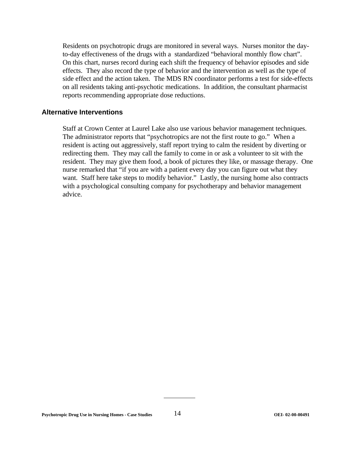Residents on psychotropic drugs are monitored in several ways. Nurses monitor the dayto-day effectiveness of the drugs with a standardized "behavioral monthly flow chart". On this chart, nurses record during each shift the frequency of behavior episodes and side effects. They also record the type of behavior and the intervention as well as the type of side effect and the action taken. The MDS RN coordinator performs a test for side-effects on all residents taking anti-psychotic medications. In addition, the consultant pharmacist reports recommending appropriate dose reductions.

#### **Alternative Interventions**

Staff at Crown Center at Laurel Lake also use various behavior management techniques. The administrator reports that "psychotropics are not the first route to go." When a resident is acting out aggressively, staff report trying to calm the resident by diverting or redirecting them. They may call the family to come in or ask a volunteer to sit with the resident. They may give them food, a book of pictures they like, or massage therapy. One nurse remarked that "if you are with a patient every day you can figure out what they want. Staff here take steps to modify behavior." Lastly, the nursing home also contracts with a psychological consulting company for psychotherapy and behavior management advice.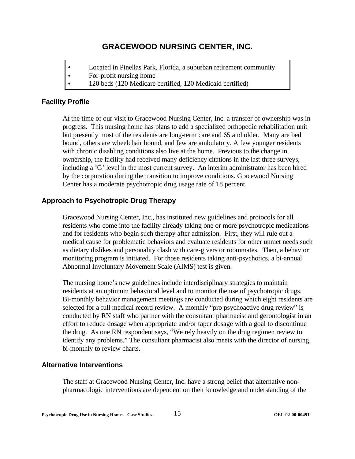# **GRACEWOOD NURSING CENTER, INC.**

- Located in Pinellas Park, Florida, a suburban retirement community
- $\bullet$  For-profit nursing home
- 120 beds (120 Medicare certified, 120 Medicaid certified)

#### **Facility Profile**

At the time of our visit to Gracewood Nursing Center, Inc. a transfer of ownership was in progress. This nursing home has plans to add a specialized orthopedic rehabilitation unit but presently most of the residents are long-term care and 65 and older. Many are bed bound, others are wheelchair bound, and few are ambulatory. A few younger residents with chronic disabling conditions also live at the home. Previous to the change in ownership, the facility had received many deficiency citations in the last three surveys, including a 'G' level in the most current survey. An interim administrator has been hired by the corporation during the transition to improve conditions. Gracewood Nursing Center has a moderate psychotropic drug usage rate of 18 percent.

### **Approach to Psychotropic Drug Therapy**

Gracewood Nursing Center, Inc., has instituted new guidelines and protocols for all residents who come into the facility already taking one or more psychotropic medications and for residents who begin such therapy after admission. First, they will rule out a medical cause for problematic behaviors and evaluate residents for other unmet needs such as dietary dislikes and personality clash with care-givers or roommates. Then, a behavior monitoring program is initiated. For those residents taking anti-psychotics, a bi-annual Abnormal Involuntary Movement Scale (AIMS) test is given.

The nursing home's new guidelines include interdisciplinary strategies to maintain residents at an optimum behavioral level and to monitor the use of psychotropic drugs. Bi-monthly behavior management meetings are conducted during which eight residents are selected for a full medical record review. A monthly "pro psychoactive drug review" is conducted by RN staff who partner with the consultant pharmacist and gerontologist in an effort to reduce dosage when appropriate and/or taper dosage with a goal to discontinue the drug. As one RN respondent says, "We rely heavily on the drug regimen review to identify any problems." The consultant pharmacist also meets with the director of nursing bi-monthly to review charts.

#### **Alternative Interventions**

The staff at Gracewood Nursing Center, Inc. have a strong belief that alternative nonpharmacologic interventions are dependent on their knowledge and understanding of the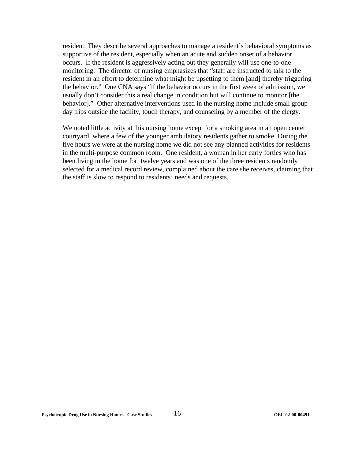resident. They describe several approaches to manage a resident's behavioral symptoms as supportive of the resident, especially when an acute and sudden onset of a behavior occurs. If the resident is aggressively acting out they generally will use one-to-one monitoring. The director of nursing emphasizes that "staff are instructed to talk to the resident in an effort to determine what might be upsetting to them [and] thereby triggering the behavior." One CNA says "if the behavior occurs in the first week of admission, we usually don't consider this a real change in condition but will continue to monitor [the behavior]." Other alternative interventions used in the nursing home include small group day trips outside the facility, touch therapy, and counseling by a member of the clergy.

We noted little activity at this nursing home except for a smoking area in an open center courtyard, where a few of the younger ambulatory residents gather to smoke. During the five hours we were at the nursing home we did not see any planned activities for residents in the multi-purpose common room. One resident, a woman in her early forties who has been living in the home for twelve years and was one of the three residents randomly selected for a medical record review, complained about the care she receives, claiming that the staff is slow to respond to residents' needs and requests.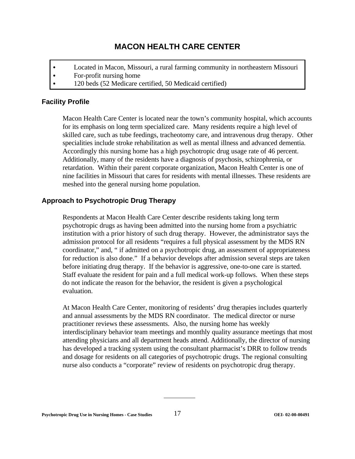# **MACON HEALTH CARE CENTER**

- Located in Macon, Missouri, a rural farming community in northeastern Missouri
- $\bullet$  For-profit nursing home
- 120 beds (52 Medicare certified, 50 Medicaid certified)

#### **Facility Profile**

Macon Health Care Center is located near the town's community hospital, which accounts for its emphasis on long term specialized care. Many residents require a high level of skilled care, such as tube feedings, tracheotomy care, and intravenous drug therapy. Other specialities include stroke rehabilitation as well as mental illness and advanced dementia. Accordingly this nursing home has a high psychotropic drug usage rate of 46 percent. Additionally, many of the residents have a diagnosis of psychosis, schizophrenia, or retardation. Within their parent corporate organization, Macon Health Center is one of nine facilities in Missouri that cares for residents with mental illnesses. These residents are meshed into the general nursing home population.

### **Approach to Psychotropic Drug Therapy**

Respondents at Macon Health Care Center describe residents taking long term psychotropic drugs as having been admitted into the nursing home from a psychiatric institution with a prior history of such drug therapy. However, the administrator says the admission protocol for all residents "requires a full physical assessment by the MDS RN coordinator," and, " if admitted on a psychotropic drug, an assessment of appropriateness for reduction is also done." If a behavior develops after admission several steps are taken before initiating drug therapy. If the behavior is aggressive, one-to-one care is started. Staff evaluate the resident for pain and a full medical work-up follows. When these steps do not indicate the reason for the behavior, the resident is given a psychological evaluation.

At Macon Health Care Center, monitoring of residents' drug therapies includes quarterly and annual assessments by the MDS RN coordinator. The medical director or nurse practitioner reviews these assessments. Also, the nursing home has weekly interdisciplinary behavior team meetings and monthly quality assurance meetings that most attending physicians and all department heads attend. Additionally, the director of nursing has developed a tracking system using the consultant pharmacist's DRR to follow trends and dosage for residents on all categories of psychotropic drugs. The regional consulting nurse also conducts a "corporate" review of residents on psychotropic drug therapy.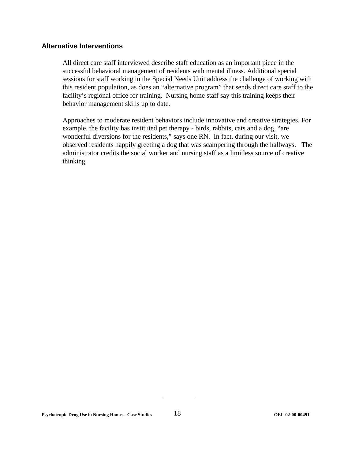#### **Alternative Interventions**

All direct care staff interviewed describe staff education as an important piece in the successful behavioral management of residents with mental illness. Additional special sessions for staff working in the Special Needs Unit address the challenge of working with this resident population, as does an "alternative program" that sends direct care staff to the facility's regional office for training. Nursing home staff say this training keeps their behavior management skills up to date.

Approaches to moderate resident behaviors include innovative and creative strategies. For example, the facility has instituted pet therapy - birds, rabbits, cats and a dog, "are wonderful diversions for the residents," says one RN. In fact, during our visit, we observed residents happily greeting a dog that was scampering through the hallways. The administrator credits the social worker and nursing staff as a limitless source of creative thinking.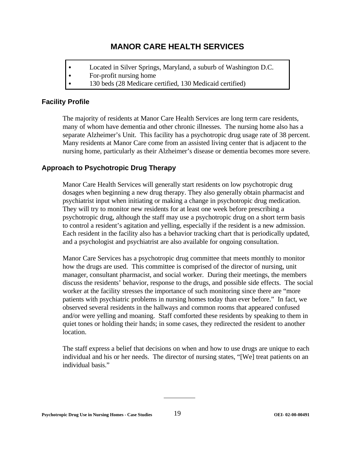# **MANOR CARE HEALTH SERVICES**

- Located in Silver Springs, Maryland, a suburb of Washington D.C.
- $\bullet$  For-profit nursing home
- 130 beds (28 Medicare certified, 130 Medicaid certified)

### **Facility Profile**

The majority of residents at Manor Care Health Services are long term care residents, many of whom have dementia and other chronic illnesses. The nursing home also has a separate Alzheimer's Unit. This facility has a psychotropic drug usage rate of 38 percent. Many residents at Manor Care come from an assisted living center that is adjacent to the nursing home, particularly as their Alzheimer's disease or dementia becomes more severe.

# **Approach to Psychotropic Drug Therapy**

Manor Care Health Services will generally start residents on low psychotropic drug dosages when beginning a new drug therapy. They also generally obtain pharmacist and psychiatrist input when initiating or making a change in psychotropic drug medication. They will try to monitor new residents for at least one week before prescribing a psychotropic drug, although the staff may use a psychotropic drug on a short term basis to control a resident's agitation and yelling, especially if the resident is a new admission. Each resident in the facility also has a behavior tracking chart that is periodically updated, and a psychologist and psychiatrist are also available for ongoing consultation.

Manor Care Services has a psychotropic drug committee that meets monthly to monitor how the drugs are used. This committee is comprised of the director of nursing, unit manager, consultant pharmacist, and social worker. During their meetings, the members discuss the residents' behavior, response to the drugs, and possible side effects. The social worker at the facility stresses the importance of such monitoring since there are "more patients with psychiatric problems in nursing homes today than ever before." In fact, we observed several residents in the hallways and common rooms that appeared confused and/or were yelling and moaning. Staff comforted these residents by speaking to them in quiet tones or holding their hands; in some cases, they redirected the resident to another location.

The staff express a belief that decisions on when and how to use drugs are unique to each individual and his or her needs. The director of nursing states, "[We] treat patients on an individual basis."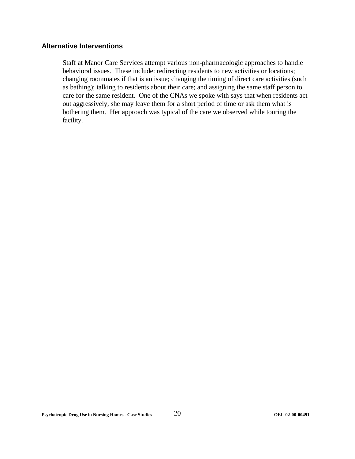#### **Alternative Interventions**

Staff at Manor Care Services attempt various non-pharmacologic approaches to handle behavioral issues. These include: redirecting residents to new activities or locations; changing roommates if that is an issue; changing the timing of direct care activities (such as bathing); talking to residents about their care; and assigning the same staff person to care for the same resident. One of the CNAs we spoke with says that when residents act out aggressively, she may leave them for a short period of time or ask them what is bothering them. Her approach was typical of the care we observed while touring the facility.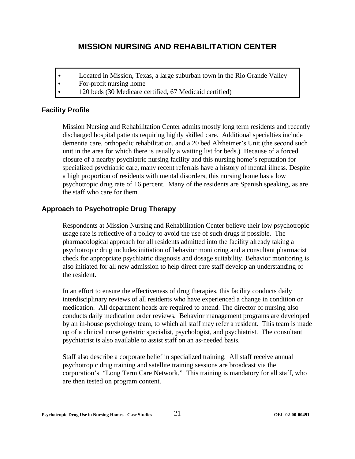# **MISSION NURSING AND REHABILITATION CENTER**

- Located in Mission, Texas, a large suburban town in the Rio Grande Valley
- $\bullet$  For-profit nursing home
- 120 beds (30 Medicare certified, 67 Medicaid certified)

# **Facility Profile**

Mission Nursing and Rehabilitation Center admits mostly long term residents and recently discharged hospital patients requiring highly skilled care. Additional specialties include dementia care, orthopedic rehabilitation, and a 20 bed Alzheimer's Unit (the second such unit in the area for which there is usually a waiting list for beds.) Because of a forced closure of a nearby psychiatric nursing facility and this nursing home's reputation for specialized psychiatric care, many recent referrals have a history of mental illness. Despite a high proportion of residents with mental disorders, this nursing home has a low psychotropic drug rate of 16 percent. Many of the residents are Spanish speaking, as are the staff who care for them.

# **Approach to Psychotropic Drug Therapy**

Respondents at Mission Nursing and Rehabilitation Center believe their low psychotropic usage rate is reflective of a policy to avoid the use of such drugs if possible. The pharmacological approach for all residents admitted into the facility already taking a psychotropic drug includes initiation of behavior monitoring and a consultant pharmacist check for appropriate psychiatric diagnosis and dosage suitability. Behavior monitoring is also initiated for all new admission to help direct care staff develop an understanding of the resident.

In an effort to ensure the effectiveness of drug therapies, this facility conducts daily interdisciplinary reviews of all residents who have experienced a change in condition or medication. All department heads are required to attend. The director of nursing also conducts daily medication order reviews. Behavior management programs are developed by an in-house psychology team, to which all staff may refer a resident. This team is made up of a clinical nurse geriatric specialist, psychologist, and psychiatrist. The consultant psychiatrist is also available to assist staff on an as-needed basis.

Staff also describe a corporate belief in specialized training. All staff receive annual psychotropic drug training and satellite training sessions are broadcast via the corporation's "Long Term Care Network." This training is mandatory for all staff, who are then tested on program content.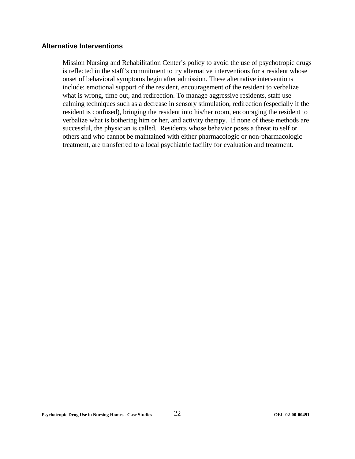#### **Alternative Interventions**

Mission Nursing and Rehabilitation Center's policy to avoid the use of psychotropic drugs is reflected in the staff's commitment to try alternative interventions for a resident whose onset of behavioral symptoms begin after admission. These alternative interventions include: emotional support of the resident, encouragement of the resident to verbalize what is wrong, time out, and redirection. To manage aggressive residents, staff use calming techniques such as a decrease in sensory stimulation, redirection (especially if the resident is confused), bringing the resident into his/her room, encouraging the resident to verbalize what is bothering him or her, and activity therapy. If none of these methods are successful, the physician is called. Residents whose behavior poses a threat to self or others and who cannot be maintained with either pharmacologic or non-pharmacologic treatment, are transferred to a local psychiatric facility for evaluation and treatment.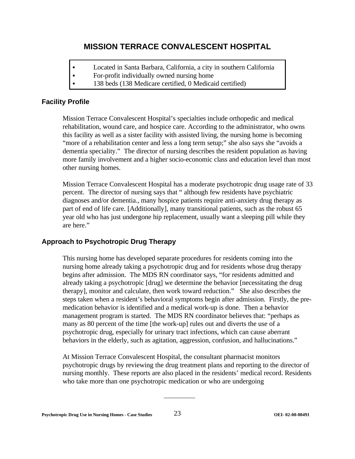# **MISSION TERRACE CONVALESCENT HOSPITAL**

- Located in Santa Barbara, California, a city in southern California
- For-profit individually owned nursing home
- 138 beds (138 Medicare certified, 0 Medicaid certified)

### **Facility Profile**

Mission Terrace Convalescent Hospital's specialties include orthopedic and medical rehabilitation, wound care, and hospice care. According to the administrator, who owns this facility as well as a sister facility with assisted living, the nursing home is becoming "more of a rehabilitation center and less a long term setup;" she also says she "avoids a dementia speciality." The director of nursing describes the resident population as having more family involvement and a higher socio-economic class and education level than most other nursing homes.

Mission Terrace Convalescent Hospital has a moderate psychotropic drug usage rate of 33 percent. The director of nursing says that " although few residents have psychiatric diagnoses and/or dementia., many hospice patients require anti-anxiety drug therapy as part of end of life care. [Additionally], many transitional patients, such as the robust 65 year old who has just undergone hip replacement, usually want a sleeping pill while they are here."

# **Approach to Psychotropic Drug Therapy**

This nursing home has developed separate procedures for residents coming into the nursing home already taking a psychotropic drug and for residents whose drug therapy begins after admission. The MDS RN coordinator says, "for residents admitted and already taking a psychotropic [drug] we determine the behavior [necessitating the drug therapy], monitor and calculate, then work toward reduction." She also describes the steps taken when a resident's behavioral symptoms begin after admission. Firstly, the premedication behavior is identified and a medical work-up is done. Then a behavior management program is started. The MDS RN coordinator believes that: "perhaps as many as 80 percent of the time [the work-up] rules out and diverts the use of a psychotropic drug, especially for urinary tract infections, which can cause aberrant behaviors in the elderly, such as agitation, aggression, confusion, and hallucinations."

At Mission Terrace Convalescent Hospital, the consultant pharmacist monitors psychotropic drugs by reviewing the drug treatment plans and reporting to the director of nursing monthly. These reports are also placed in the residents' medical record. Residents who take more than one psychotropic medication or who are undergoing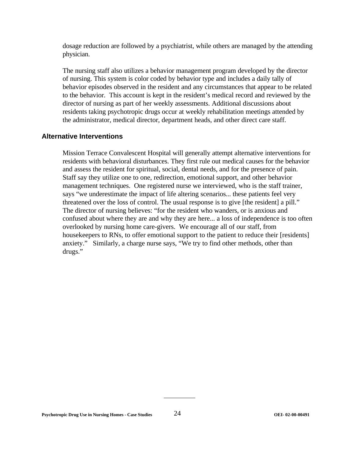dosage reduction are followed by a psychiatrist, while others are managed by the attending physician.

The nursing staff also utilizes a behavior management program developed by the director of nursing. This system is color coded by behavior type and includes a daily tally of behavior episodes observed in the resident and any circumstances that appear to be related to the behavior. This account is kept in the resident's medical record and reviewed by the director of nursing as part of her weekly assessments. Additional discussions about residents taking psychotropic drugs occur at weekly rehabilitation meetings attended by the administrator, medical director, department heads, and other direct care staff.

#### **Alternative Interventions**

Mission Terrace Convalescent Hospital will generally attempt alternative interventions for residents with behavioral disturbances. They first rule out medical causes for the behavior and assess the resident for spiritual, social, dental needs, and for the presence of pain. Staff say they utilize one to one, redirection, emotional support, and other behavior management techniques. One registered nurse we interviewed, who is the staff trainer, says "we underestimate the impact of life altering scenarios... these patients feel very threatened over the loss of control. The usual response is to give [the resident] a pill." The director of nursing believes: "for the resident who wanders, or is anxious and confused about where they are and why they are here... a loss of independence is too often overlooked by nursing home care-givers. We encourage all of our staff, from housekeepers to RNs, to offer emotional support to the patient to reduce their [residents] anxiety." Similarly, a charge nurse says, "We try to find other methods, other than drugs."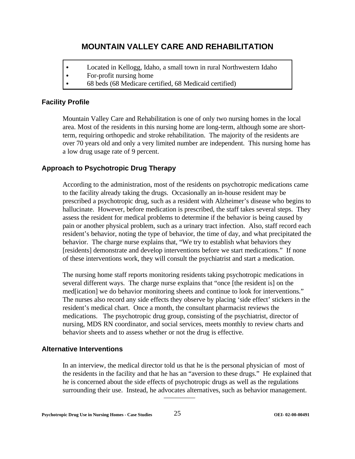# **MOUNTAIN VALLEY CARE AND REHABILITATION**

- Located in Kellogg, Idaho, a small town in rural Northwestern Idaho
- $\bullet$  For-profit nursing home
- 68 beds (68 Medicare certified, 68 Medicaid certified)

#### **Facility Profile**

Mountain Valley Care and Rehabilitation is one of only two nursing homes in the local area. Most of the residents in this nursing home are long-term, although some are shortterm, requiring orthopedic and stroke rehabilitation. The majority of the residents are over 70 years old and only a very limited number are independent. This nursing home has a low drug usage rate of 9 percent.

#### **Approach to Psychotropic Drug Therapy**

According to the administration, most of the residents on psychotropic medications came to the facility already taking the drugs. Occasionally an in-house resident may be prescribed a psychotropic drug, such as a resident with Alzheimer's disease who begins to hallucinate. However, before medication is prescribed, the staff takes several steps. They assess the resident for medical problems to determine if the behavior is being caused by pain or another physical problem, such as a urinary tract infection. Also, staff record each resident's behavior, noting the type of behavior, the time of day, and what precipitated the behavior. The charge nurse explains that, "We try to establish what behaviors they [residents] demonstrate and develop interventions before we start medications." If none of these interventions work, they will consult the psychiatrist and start a medication.

The nursing home staff reports monitoring residents taking psychotropic medications in several different ways. The charge nurse explains that "once [the resident is] on the med[ication] we do behavior monitoring sheets and continue to look for interventions." The nurses also record any side effects they observe by placing 'side effect' stickers in the resident's medical chart. Once a month, the consultant pharmacist reviews the medications. The psychotropic drug group, consisting of the psychiatrist, director of nursing, MDS RN coordinator, and social services, meets monthly to review charts and behavior sheets and to assess whether or not the drug is effective.

#### **Alternative Interventions**

In an interview, the medical director told us that he is the personal physician of most of the residents in the facility and that he has an "aversion to these drugs." He explained that he is concerned about the side effects of psychotropic drugs as well as the regulations surrounding their use. Instead, he advocates alternatives, such as behavior management.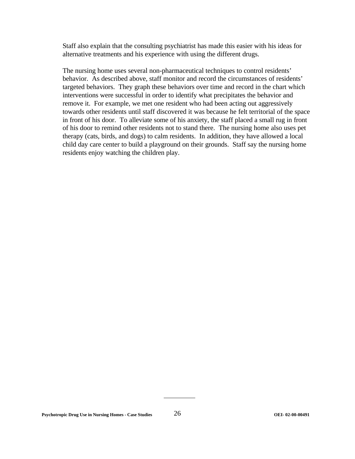Staff also explain that the consulting psychiatrist has made this easier with his ideas for alternative treatments and his experience with using the different drugs.

The nursing home uses several non-pharmaceutical techniques to control residents' behavior. As described above, staff monitor and record the circumstances of residents' targeted behaviors. They graph these behaviors over time and record in the chart which interventions were successful in order to identify what precipitates the behavior and remove it. For example, we met one resident who had been acting out aggressively towards other residents until staff discovered it was because he felt territorial of the space in front of his door. To alleviate some of his anxiety, the staff placed a small rug in front of his door to remind other residents not to stand there. The nursing home also uses pet therapy (cats, birds, and dogs) to calm residents. In addition, they have allowed a local child day care center to build a playground on their grounds. Staff say the nursing home residents enjoy watching the children play.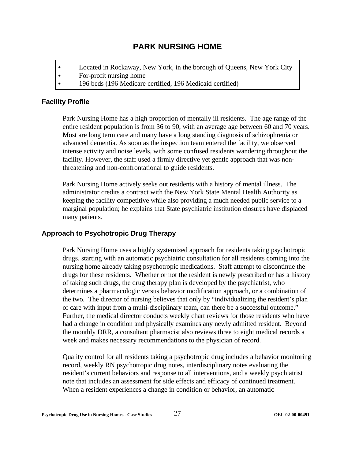# **PARK NURSING HOME**

- Located in Rockaway, New York, in the borough of Queens, New York City
- $\bullet$  For-profit nursing home
- 196 beds (196 Medicare certified, 196 Medicaid certified)

# **Facility Profile**

Park Nursing Home has a high proportion of mentally ill residents. The age range of the entire resident population is from 36 to 90, with an average age between 60 and 70 years. Most are long term care and many have a long standing diagnosis of schizophrenia or advanced dementia. As soon as the inspection team entered the facility, we observed intense activity and noise levels, with some confused residents wandering throughout the facility. However, the staff used a firmly directive yet gentle approach that was nonthreatening and non-confrontational to guide residents.

Park Nursing Home actively seeks out residents with a history of mental illness. The administrator credits a contract with the New York State Mental Health Authority as keeping the facility competitive while also providing a much needed public service to a marginal population; he explains that State psychiatric institution closures have displaced many patients.

# **Approach to Psychotropic Drug Therapy**

Park Nursing Home uses a highly systemized approach for residents taking psychotropic drugs, starting with an automatic psychiatric consultation for all residents coming into the nursing home already taking psychotropic medications. Staff attempt to discontinue the drugs for these residents. Whether or not the resident is newly prescribed or has a history of taking such drugs, the drug therapy plan is developed by the psychiatrist, who determines a pharmacologic versus behavior modification approach, or a combination of the two. The director of nursing believes that only by "individualizing the resident's plan of care with input from a multi-disciplinary team, can there be a successful outcome." Further, the medical director conducts weekly chart reviews for those residents who have had a change in condition and physically examines any newly admitted resident. Beyond the monthly DRR, a consultant pharmacist also reviews three to eight medical records a week and makes necessary recommendations to the physician of record.

Quality control for all residents taking a psychotropic drug includes a behavior monitoring record, weekly RN psychotropic drug notes, interdisciplinary notes evaluating the resident's current behaviors and response to all interventions, and a weekly psychiatrist note that includes an assessment for side effects and efficacy of continued treatment. When a resident experiences a change in condition or behavior, an automatic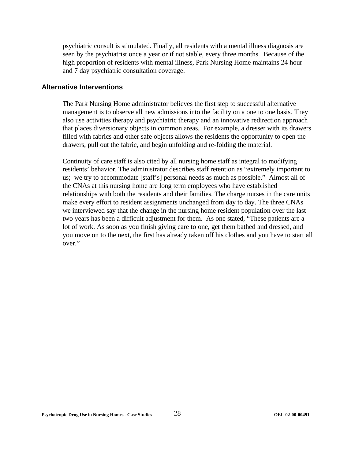psychiatric consult is stimulated. Finally, all residents with a mental illness diagnosis are seen by the psychiatrist once a year or if not stable, every three months. Because of the high proportion of residents with mental illness, Park Nursing Home maintains 24 hour and 7 day psychiatric consultation coverage.

#### **Alternative Interventions**

The Park Nursing Home administrator believes the first step to successful alternative management is to observe all new admissions into the facility on a one to one basis. They also use activities therapy and psychiatric therapy and an innovative redirection approach that places diversionary objects in common areas. For example, a dresser with its drawers filled with fabrics and other safe objects allows the residents the opportunity to open the drawers, pull out the fabric, and begin unfolding and re-folding the material.

Continuity of care staff is also cited by all nursing home staff as integral to modifying residents' behavior. The administrator describes staff retention as "extremely important to us; we try to accommodate [staff's] personal needs as much as possible." Almost all of the CNAs at this nursing home are long term employees who have established relationships with both the residents and their families. The charge nurses in the care units make every effort to resident assignments unchanged from day to day. The three CNAs we interviewed say that the change in the nursing home resident population over the last two years has been a difficult adjustment for them. As one stated, "These patients are a lot of work. As soon as you finish giving care to one, get them bathed and dressed, and you move on to the next, the first has already taken off his clothes and you have to start all over."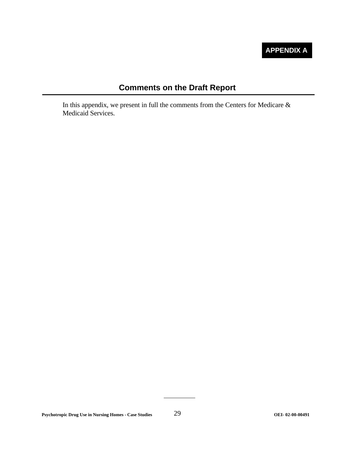# **APPENDIX A**

# **Comments on the Draft Report**

In this appendix, we present in full the comments from the Centers for Medicare  $\&$ Medicaid Services.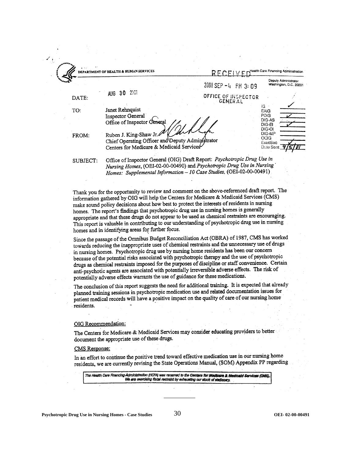|          |                                                                                                                                                                                                                           | 2001 SEP -4 PM 3:09                   | Deputy Administrator<br>Washington, D.C. 20201      |
|----------|---------------------------------------------------------------------------------------------------------------------------------------------------------------------------------------------------------------------------|---------------------------------------|-----------------------------------------------------|
| DATE:    | 2001<br>AUG 30                                                                                                                                                                                                            | OFFICE OF INSPECTOR<br><b>GENERAL</b> |                                                     |
| TO:      | Janet Rehnquist<br>Inspector General<br>Office of Inspector General                                                                                                                                                       |                                       | ïG<br>EAIG<br>PDIG<br>DIG-AS<br>$DG - EI$<br>DIG-OI |
| FROM:    | Ruben J. King-Shaw Jr.<br>Chief Operating Officer and Deputy Administrator<br>Centers for Medicare & Medicaid Services                                                                                                    |                                       | DIG-MP<br>OCIG<br>ExecSec<br>Date Sent 91           |
| SUBJECT: | Office of Inspector General (OIG) Draft Report: Psychotropic Drug Use in<br>Nursing Homes, (OEI-02-00-00490) and Psychotropic Drug Use in Nursing<br>Homes: Supplemental Information - 10 Case Studies, (OEI-02-00-00491) |                                       |                                                     |

Thank you for the opportunity to review and comment on the above-referenced draft report. The information gathered by OIG will help the Centers for Medicare & Medicaid Services (CMS) make sound policy decisions about how best to protect the interests of residents in nursing homes. The report's findings that psychotropic drug use in nursing homes is generally appropriate and that these drugs do not appear to be used as chemical restraints are encouraging. This report is valuable in contributing to our understanding of psychotropic drug use in nursing homes and in identifying areas for further focus.

Since the passage of the Omnibus Budget Reconciliation Act (OBRA) of 1987, CMS has worked towards reducing the inappropriate uses of chemical restraints and the unnecessary use of drugs in nursing homes. Psychotropic drug use by nursing home residents has been our concern because of the potential risks associated with psychotropic therapy and the use of psychotropic drugs as chemical restraints imposed for the purposes of discipline or staff convenience. Certain anti-psychotic agents are associated with potentially irreversible adverse effects. The risk of potentially adverse effects warrants the use of guidance for these medications.

The conclusion of this report suggests the need for additional training. It is expected that already planned training sessions in psychotropic medication use and related documentation issues for patient medical records will have a positive impact on the quality of care of our nursing home residents.

#### OIG Recommendation:

The Centers for Medicare & Medicaid Services may consider educating providers to better document the appropriate use of these drugs.

#### **CMS** Response:

In an effort to continue the positive trend toward effective medication use in our nursing home residents, we are currently revising the State Operations Manual, (SOM) Appendix PP regarding

The Health Care Financing Administration (HCFA) was renamed to the Centers for Medicare & Medicald Services (DMS). We are exercising fiscal restraint by exhausting our stock of stationery.

**Psychotropic Drug Use in Nursing Homes - Case Studies** 30 **OEI- 02-00-00491**